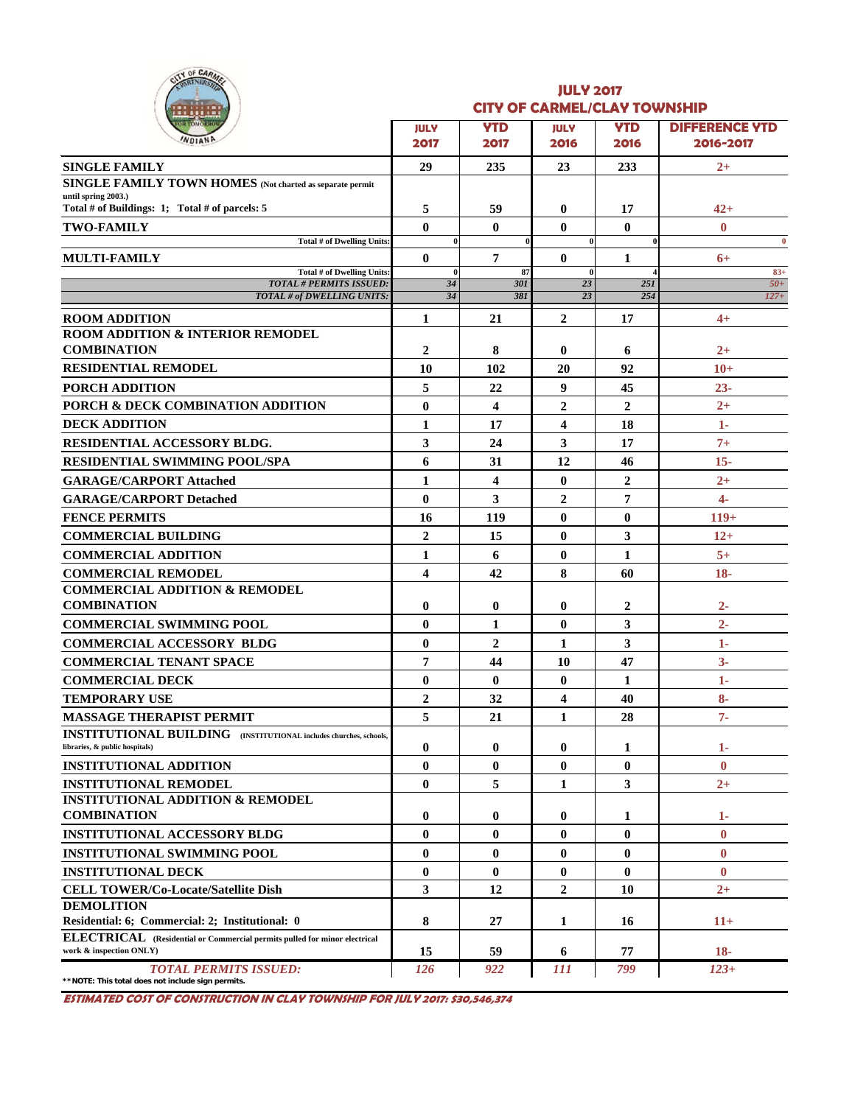|  | OF CARMEL |  |
|--|-----------|--|
|  |           |  |
|  |           |  |

### **JULY 2017 CITY OF CARMEL/CLAY TOWNSHIP**

| <u>.</u>                                                                                                    |                          |                    |                      |                    |                                    |
|-------------------------------------------------------------------------------------------------------------|--------------------------|--------------------|----------------------|--------------------|------------------------------------|
| <b>OR TOMORROW</b><br>WDIAN                                                                                 | <b>JULY</b><br>2017      | <b>YTD</b><br>2017 | <b>JULY</b><br>2016  | <b>YTD</b><br>2016 | <b>DIFFERENCE YTD</b><br>2016-2017 |
| <b>SINGLE FAMILY</b>                                                                                        | 29                       | 235                | 23                   | 233                | $2+$                               |
| SINGLE FAMILY TOWN HOMES (Not charted as separate permit                                                    |                          |                    |                      |                    |                                    |
| until spring 2003.)                                                                                         |                          |                    |                      |                    |                                    |
| Total # of Buildings: 1; Total # of parcels: 5                                                              | 5                        | 59                 | $\bf{0}$             | 17                 | $42+$                              |
| <b>TWO-FAMILY</b>                                                                                           | $\mathbf{0}$<br>$\bf{0}$ | $\mathbf{0}$       | $\bf{0}$<br>$\bf{0}$ | $\bf{0}$           | $\bf{0}$                           |
| Total # of Dwelling Units:<br><b>MULTI-FAMILY</b>                                                           | $\mathbf{0}$             | 7                  | $\bf{0}$             | 1                  | $\bf{0}$<br>$6+$                   |
| <b>Total # of Dwelling Units:</b>                                                                           | $\mathbf{0}$             | 87                 | 0                    |                    | $83+$                              |
| <b>TOTAL # PERMITS ISSUED:</b>                                                                              | 34                       | 301                | 23                   | 25I                | $50+$                              |
| TOTAL # of DWELLING UNITS:                                                                                  | 34                       | 381                | 23                   | 254                | $127+$                             |
| <b>ROOM ADDITION</b>                                                                                        | 1                        | 21                 | $\overline{2}$       | 17                 | $4+$                               |
| <b>ROOM ADDITION &amp; INTERIOR REMODEL</b>                                                                 |                          |                    |                      |                    |                                    |
| <b>COMBINATION</b>                                                                                          | $\overline{2}$           | 8                  | $\bf{0}$             | 6                  | $2+$                               |
| <b>RESIDENTIAL REMODEL</b>                                                                                  | 10                       | 102                | 20                   | 92                 | $10+$                              |
| PORCH ADDITION                                                                                              | 5                        | 22                 | 9                    | 45                 | $23 -$                             |
| PORCH & DECK COMBINATION ADDITION                                                                           | $\bf{0}$                 | 4                  | $\overline{2}$       | $\overline{2}$     | $2+$                               |
| <b>DECK ADDITION</b>                                                                                        | 1                        | 17                 | 4                    | 18                 | $1-$                               |
| <b>RESIDENTIAL ACCESSORY BLDG.</b>                                                                          | 3                        | 24                 | 3                    | 17                 | $7+$                               |
| <b>RESIDENTIAL SWIMMING POOL/SPA</b>                                                                        | 6                        | 31                 | 12                   | 46                 | $15 -$                             |
| <b>GARAGE/CARPORT Attached</b>                                                                              | $\mathbf{1}$             | 4                  | $\bf{0}$             | $\overline{2}$     | $2+$                               |
| <b>GARAGE/CARPORT Detached</b>                                                                              | $\mathbf{0}$             | 3                  | $\overline{2}$       | 7                  | $4-$                               |
| <b>FENCE PERMITS</b>                                                                                        | 16                       | 119                | $\bf{0}$             | $\bf{0}$           | $119+$                             |
| <b>COMMERCIAL BUILDING</b>                                                                                  | $\boldsymbol{2}$         | 15                 | $\bf{0}$             | 3                  | $12+$                              |
| <b>COMMERCIAL ADDITION</b>                                                                                  | $\mathbf{1}$             | 6                  | $\bf{0}$             | 1                  | $5+$                               |
| <b>COMMERCIAL REMODEL</b>                                                                                   | $\overline{\mathbf{4}}$  | 42                 | 8                    | 60                 | $18-$                              |
| <b>COMMERCIAL ADDITION &amp; REMODEL</b>                                                                    |                          |                    |                      |                    |                                    |
| <b>COMBINATION</b>                                                                                          | $\bf{0}$                 | 0                  | $\bf{0}$             | 2                  | $2 -$                              |
| <b>COMMERCIAL SWIMMING POOL</b>                                                                             | $\mathbf{0}$             | 1                  | $\bf{0}$             | 3                  | $2 -$                              |
| <b>COMMERCIAL ACCESSORY BLDG</b>                                                                            | $\bf{0}$                 | $\mathbf{2}$       | 1                    | 3                  | 1-                                 |
| <b>COMMERCIAL TENANT SPACE</b>                                                                              | 7                        | 44                 | 10                   | 47                 | $3-$                               |
| <b>COMMERCIAL DECK</b>                                                                                      | $\bf{0}$                 | $\bf{0}$           | $\bf{0}$             | 1                  | $1-$                               |
| <b>TEMPORARY USE</b>                                                                                        | $\overline{2}$           | 32                 | 4                    | 40                 | $8-$                               |
| <b>MASSAGE THERAPIST PERMIT</b>                                                                             | 5                        | 21                 | 1                    | 28                 | $7 -$                              |
| <b>INSTITUTIONAL BUILDING</b> (INSTITUTIONAL includes churches, schools,<br>libraries, & public hospitals)  | $\bf{0}$                 | $\bf{0}$           | $\bf{0}$             | 1                  | $1-$                               |
| <b>INSTITUTIONAL ADDITION</b>                                                                               | $\mathbf{0}$             | $\bf{0}$           | $\bf{0}$             | $\bf{0}$           | $\mathbf{0}$                       |
| <b>INSTITUTIONAL REMODEL</b>                                                                                | $\bf{0}$                 | 5                  | 1                    | 3                  | $2+$                               |
| <b>INSTITUTIONAL ADDITION &amp; REMODEL</b>                                                                 |                          |                    |                      |                    |                                    |
| <b>COMBINATION</b>                                                                                          | $\bf{0}$                 | 0                  | $\bf{0}$             | 1                  | $1-$                               |
| <b>INSTITUTIONAL ACCESSORY BLDG</b>                                                                         | $\mathbf{0}$             | 0                  | 0                    | $\bf{0}$           | $\mathbf{0}$                       |
| <b>INSTITUTIONAL SWIMMING POOL</b>                                                                          | $\bf{0}$                 | $\bf{0}$           | $\bf{0}$             | $\bf{0}$           | $\bf{0}$                           |
| <b>INSTITUTIONAL DECK</b>                                                                                   | $\bf{0}$                 | $\bf{0}$           | $\bf{0}$             | $\bf{0}$           | $\bf{0}$                           |
| <b>CELL TOWER/Co-Locate/Satellite Dish</b>                                                                  | 3                        | 12                 | $\overline{2}$       | 10                 | $2+$                               |
| <b>DEMOLITION</b>                                                                                           |                          |                    |                      |                    |                                    |
| Residential: 6; Commercial: 2; Institutional: 0                                                             | 8                        | 27                 | 1                    | 16                 | $11+$                              |
| <b>ELECTRICAL</b> (Residential or Commercial permits pulled for minor electrical<br>work & inspection ONLY) | 15                       | 59                 | 6                    | 77                 | $18-$                              |
| <b>TOTAL PERMITS ISSUED:</b>                                                                                | 126                      | 922                | 111                  | 799                | $123+$                             |
|                                                                                                             |                          |                    |                      |                    |                                    |

**\*\*NOTE: This total does not include sign permits.**

**ESTIMATED COST OF CONSTRUCTION IN CLAY TOWNSHIP FOR JULY 2017: \$30,546,374**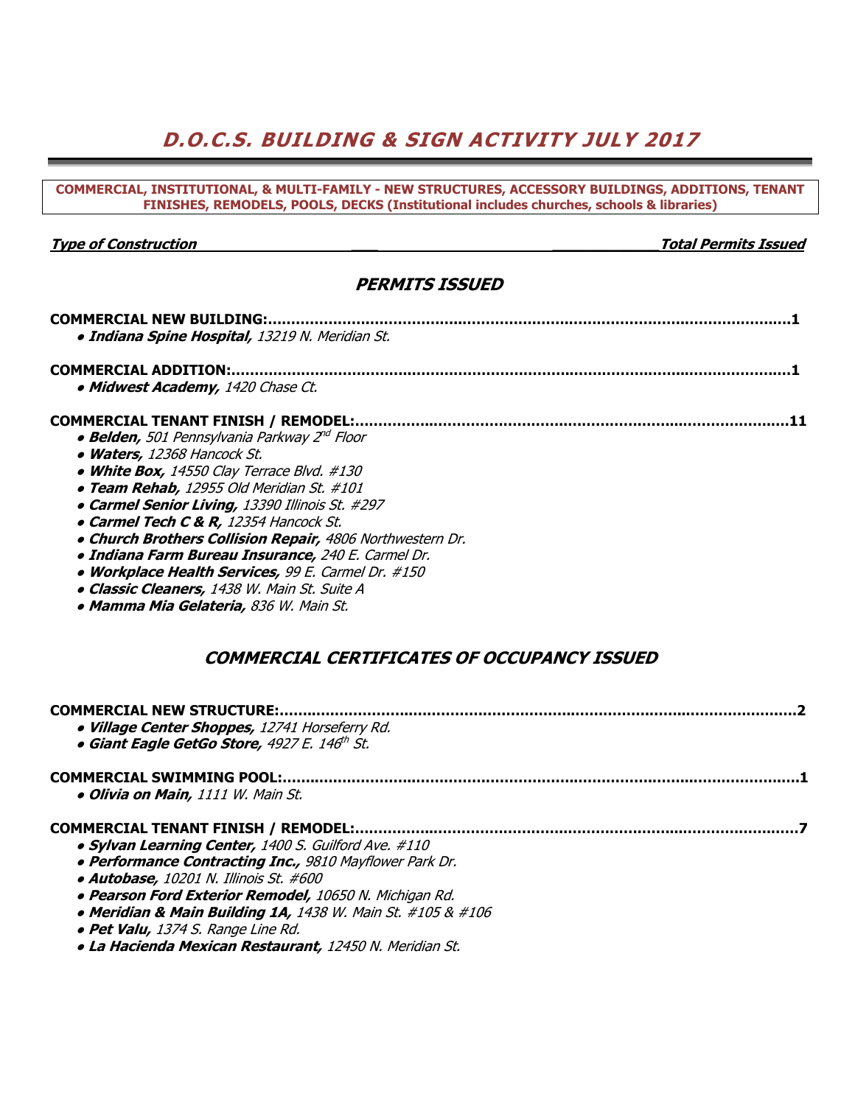# **D.O.C.S. BUILDING & SIGN ACTIVITY JULY 2017**

| COMMERCIAL, INSTITUTIONAL, & MULTI-FAMILY - NEW STRUCTURES, ACCESSORY BUILDINGS, ADDITIONS, TENANT<br>FINISHES, REMODELS, POOLS, DECKS (Institutional includes churches, schools & libraries)                                                                                                                                                                                                                                                                                                                                                      |
|----------------------------------------------------------------------------------------------------------------------------------------------------------------------------------------------------------------------------------------------------------------------------------------------------------------------------------------------------------------------------------------------------------------------------------------------------------------------------------------------------------------------------------------------------|
|                                                                                                                                                                                                                                                                                                                                                                                                                                                                                                                                                    |
| <b>Total Permits Issued</b><br><b>Type of Construction</b>                                                                                                                                                                                                                                                                                                                                                                                                                                                                                         |
| <b>PERMITS ISSUED</b>                                                                                                                                                                                                                                                                                                                                                                                                                                                                                                                              |
| <b>COMMERCIAL NEW BUILDING:</b><br>· Indiana Spine Hospital, 13219 N. Meridian St.                                                                                                                                                                                                                                                                                                                                                                                                                                                                 |
| <b>COMMERCIAL ADDITION:.</b>                                                                                                                                                                                                                                                                                                                                                                                                                                                                                                                       |
| · Midwest Academy, 1420 Chase Ct.                                                                                                                                                                                                                                                                                                                                                                                                                                                                                                                  |
| • Belden, 501 Pennsylvania Parkway 2 <sup>nd</sup> Floor<br>• Waters, 12368 Hancock St.<br>• White Box, 14550 Clay Terrace Blvd. #130<br>· Team Rehab, 12955 Old Meridian St. #101<br>• Carmel Senior Living, 13390 Illinois St. #297<br>• Carmel Tech C & R, 12354 Hancock St.<br>. Church Brothers Collision Repair, 4806 Northwestern Dr.<br>· Indiana Farm Bureau Insurance, 240 E. Carmel Dr.<br>• Workplace Health Services, 99 E. Carmel Dr. #150<br>· Classic Cleaners, 1438 W. Main St. Suite A<br>· Mamma Mia Gelateria, 836 W. Main St. |
| <b>COMMERCIAL CERTIFICATES OF OCCUPANCY ISSUED</b>                                                                                                                                                                                                                                                                                                                                                                                                                                                                                                 |
| · Village Center Shoppes, 12741 Horseferry Rd.<br><b>• Giant Eagle GetGo Store, 4927 E. 146th St.</b>                                                                                                                                                                                                                                                                                                                                                                                                                                              |
| <b>COMMERCIAL SWIMMING POOL:</b><br>· Olivia on Main, 1111 W. Main St.                                                                                                                                                                                                                                                                                                                                                                                                                                                                             |
| <b>COMMERCIAL TENANT FINISH / REMODEL:</b><br>· Sylvan Learning Center, 1400 S. Guilford Ave. #110<br><b>• Performance Contracting Inc., 9810 Mayflower Park Dr.</b><br>· Autobase, 10201 N. Illinois St. #600<br>· Pearson Ford Exterior Remodel, 10650 N. Michigan Rd.<br>• Meridian & Main Building 1A, 1438 W. Main St. #105 & #106<br>· Pet Valu, 1374 S. Range Line Rd.<br>· La Hacienda Mexican Restaurant, 12450 N. Meridian St.                                                                                                           |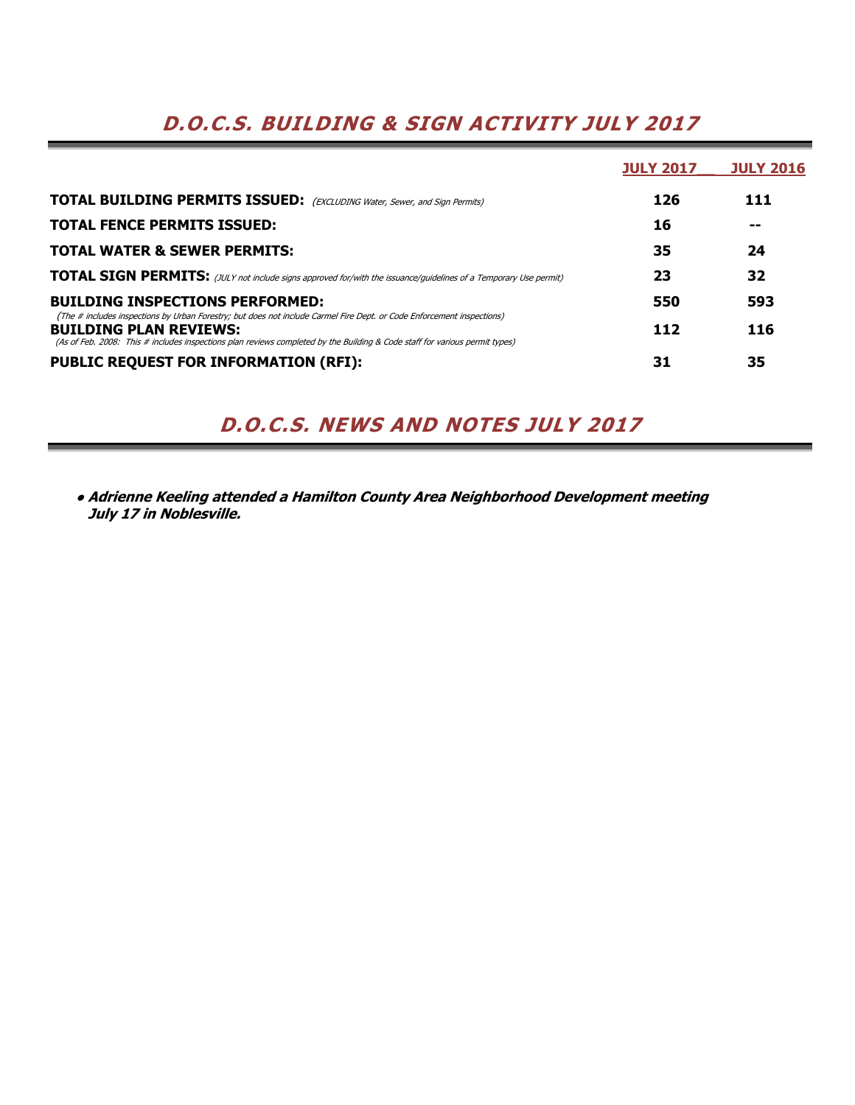# **D.O.C.S. BUILDING & SIGN ACTIVITY JULY 2017**

|                                                                                                                                                                                                                                                                                        | <b>JULY 2017</b> | <b>JULY 2016</b> |
|----------------------------------------------------------------------------------------------------------------------------------------------------------------------------------------------------------------------------------------------------------------------------------------|------------------|------------------|
| <b>TOTAL BUILDING PERMITS ISSUED:</b> (EXCLUDING Water, Sewer, and Sign Permits)                                                                                                                                                                                                       | 126              | 111              |
| <b>TOTAL FENCE PERMITS ISSUED:</b>                                                                                                                                                                                                                                                     | 16               |                  |
| <b>TOTAL WATER &amp; SEWER PERMITS:</b>                                                                                                                                                                                                                                                | 35               | 24               |
| <b>TOTAL SIGN PERMITS:</b> (JULY not include signs approved for/with the issuance/guidelines of a Temporary Use permit)                                                                                                                                                                | 23               | 32               |
| <b>BUILDING INSPECTIONS PERFORMED:</b>                                                                                                                                                                                                                                                 | 550              | 593              |
| (The # includes inspections by Urban Forestry; but does not include Carmel Fire Dept. or Code Enforcement inspections)<br><b>BUILDING PLAN REVIEWS:</b><br>(As of Feb. 2008: This # includes inspections plan reviews completed by the Building & Code staff for various permit types) | 112              | 116              |
| <b>PUBLIC REQUEST FOR INFORMATION (RFI):</b>                                                                                                                                                                                                                                           | 31               | 35               |

# **D.O.C.S. NEWS AND NOTES JULY 2017**

**● Adrienne Keeling attended a Hamilton County Area Neighborhood Development meeting July 17 in Noblesville.**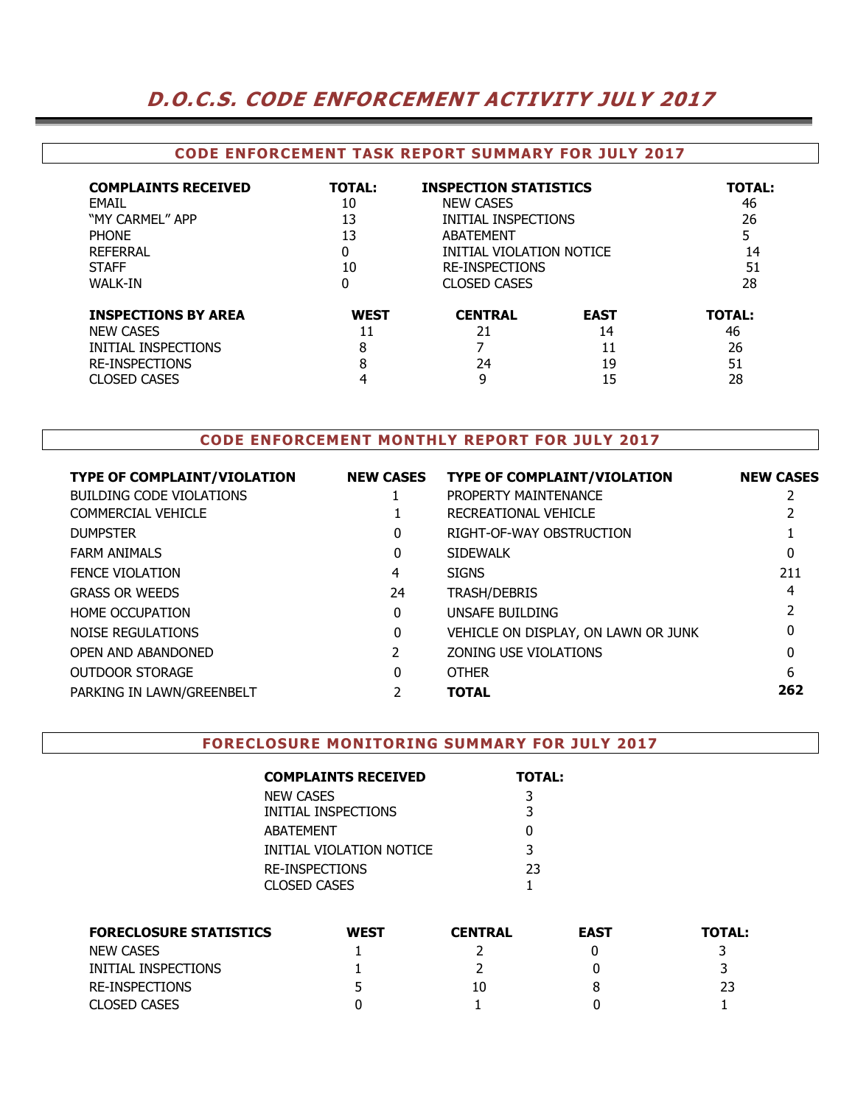# **D.O.C.S. CODE ENFORCEMENT ACTIVITY JULY 2017**

## **CODE ENFORCEMENT TASK REPORT SUMMARY FOR JULY 2017**

| <b>COMPLAINTS RECEIVED</b>                                                                                            | <b>TOTAL:</b>               | <b>INSPECTION STATISTICS</b>    |                                     | <b>TOTAL:</b>                         |
|-----------------------------------------------------------------------------------------------------------------------|-----------------------------|---------------------------------|-------------------------------------|---------------------------------------|
| FMAIL                                                                                                                 | 10                          | <b>NEW CASES</b>                |                                     | 46                                    |
| "MY CARMEL" APP                                                                                                       | 13                          | INITIAL INSPECTIONS             |                                     | 26                                    |
| <b>PHONF</b>                                                                                                          | 13                          | ABATFMFNT                       |                                     | 5                                     |
| REFERRAL                                                                                                              | 0                           | INITIAL VIOLATION NOTICE        |                                     | 14                                    |
| <b>STAFF</b>                                                                                                          | 10                          | <b>RE-INSPECTIONS</b>           |                                     | 51                                    |
| <b>WALK-IN</b>                                                                                                        | 0                           | <b>CLOSED CASES</b>             |                                     | 28                                    |
| <b>INSPECTIONS BY AREA</b><br><b>NEW CASES</b><br>INITIAL INSPECTIONS<br><b>RE-INSPECTIONS</b><br><b>CLOSED CASES</b> | <b>WEST</b><br>11<br>8<br>8 | <b>CENTRAL</b><br>21<br>24<br>9 | <b>EAST</b><br>14<br>11<br>19<br>15 | <b>TOTAL:</b><br>46<br>26<br>51<br>28 |

## **CODE ENFORCEMENT MONTHLY REPORT FOR JULY 2017**

| <b>TYPE OF COMPLAINT/VIOLATION</b> | <b>NEW CASES</b> | <b>TYPE OF COMPLAINT/VIOLATION</b>  | <b>NEW CASES</b> |
|------------------------------------|------------------|-------------------------------------|------------------|
| BUILDING CODE VIOLATIONS           |                  | PROPERTY MAINTENANCE                |                  |
| <b>COMMERCIAL VEHICLE</b>          |                  | RECREATIONAL VEHICLE                |                  |
| <b>DUMPSTER</b>                    | 0                | RIGHT-OF-WAY OBSTRUCTION            |                  |
| <b>FARM ANIMALS</b>                | 0                | <b>SIDEWALK</b>                     | 0                |
| <b>FENCE VIOLATION</b>             | 4                | <b>SIGNS</b>                        | 211              |
| <b>GRASS OR WEEDS</b>              | 24               | <b>TRASH/DEBRIS</b>                 | 4                |
| <b>HOME OCCUPATION</b>             | $\Omega$         | UNSAFE BUILDING                     |                  |
| NOISE REGULATIONS                  | 0                | VEHICLE ON DISPLAY, ON LAWN OR JUNK | 0                |
| OPEN AND ABANDONED                 |                  | ZONING USE VIOLATIONS               | 0                |
| <b>OUTDOOR STORAGE</b>             | $\Omega$         | <b>OTHER</b>                        | 6                |
| PARKING IN LAWN/GREENBELT          |                  | <b>TOTAL</b>                        | 262              |
|                                    |                  |                                     |                  |

### **FORECLOSURE MONITORING SUMMARY FOR JULY 2017**

| <b>COMPLAINTS RECEIVED</b> | <b>TOTAL:</b> |
|----------------------------|---------------|
| <b>NEW CASES</b>           | 3             |
| INITIAL INSPECTIONS        | 3             |
| ABATEMENT                  | O             |
| INITIAL VIOLATION NOTICE   | 3             |
| RE-INSPECTIONS             | 23            |
| CLOSED CASES               |               |

| <b>FORECLOSURE STATISTICS</b> | <b>WEST</b> | <b>CENTRAL</b> | <b>EAST</b> | <b>TOTAL:</b> |
|-------------------------------|-------------|----------------|-------------|---------------|
| <b>NEW CASES</b>              |             |                |             |               |
| INITIAL INSPECTIONS           |             |                |             |               |
| RE-INSPECTIONS                |             | 10             |             | 23            |
| <b>CLOSED CASES</b>           |             |                |             |               |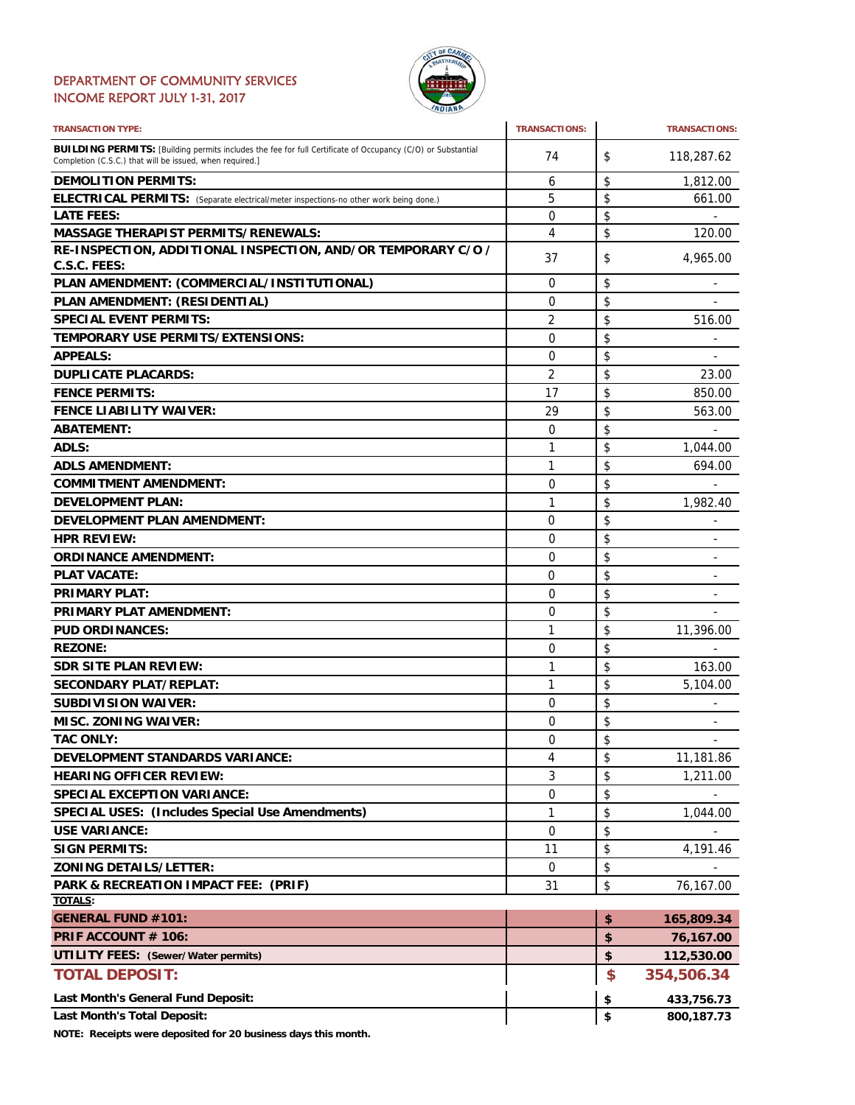## DEPARTMENT OF COMMUNITY SERVICES INCOME REPORT JULY 1-31, 2017



| <b>TRANSACTION TYPE:</b>                                                                                                                                                       | <b>TRANSACTIONS:</b> | <b>TRANSACTIONS:</b>           |
|--------------------------------------------------------------------------------------------------------------------------------------------------------------------------------|----------------------|--------------------------------|
| <b>BUILDING PERMITS:</b> [Building permits includes the fee for full Certificate of Occupancy (C/O) or Substantial<br>Completion (C.S.C.) that will be issued, when required.] | 74                   | \$<br>118,287.62               |
| <b>DEMOLITION PERMITS:</b>                                                                                                                                                     | 6                    | \$<br>1,812.00                 |
| ELECTRICAL PERMITS: (Separate electrical/meter inspections-no other work being done.)                                                                                          | 5                    | \$<br>661.00                   |
| <b>LATE FEES:</b>                                                                                                                                                              | 0                    | \$                             |
| <b>MASSAGE THERAPIST PERMITS/RENEWALS:</b>                                                                                                                                     | 4                    | \$<br>120.00                   |
| RE-INSPECTION, ADDITIONAL INSPECTION, AND/OR TEMPORARY C/O /                                                                                                                   | 37                   | \$<br>4,965.00                 |
| C.S.C. FEES:                                                                                                                                                                   |                      |                                |
| PLAN AMENDMENT: (COMMERCIAL/INSTITUTIONAL)                                                                                                                                     | 0                    | \$                             |
| PLAN AMENDMENT: (RESIDENTIAL)                                                                                                                                                  | 0                    | \$                             |
| <b>SPECIAL EVENT PERMITS:</b>                                                                                                                                                  | $\overline{2}$       | \$<br>516.00                   |
| TEMPORARY USE PERMITS/EXTENSIONS:                                                                                                                                              | 0                    | \$                             |
| <b>APPEALS:</b>                                                                                                                                                                | 0                    | \$<br>÷,                       |
| <b>DUPLICATE PLACARDS:</b>                                                                                                                                                     | 2                    | \$<br>23.00                    |
| <b>FENCE PERMITS:</b>                                                                                                                                                          | 17                   | \$<br>850.00                   |
| <b>FENCE LIABILITY WAIVER:</b>                                                                                                                                                 | 29                   | \$<br>563.00                   |
| <b>ABATEMENT:</b>                                                                                                                                                              | 0                    | \$                             |
| ADLS:                                                                                                                                                                          | 1                    | \$<br>1,044.00                 |
| <b>ADLS AMENDMENT:</b>                                                                                                                                                         | 1                    | \$<br>694.00                   |
| <b>COMMITMENT AMENDMENT:</b>                                                                                                                                                   | 0                    |                                |
|                                                                                                                                                                                |                      | \$                             |
| <b>DEVELOPMENT PLAN:</b>                                                                                                                                                       | 1                    | \$<br>1,982.40                 |
| <b>DEVELOPMENT PLAN AMENDMENT:</b>                                                                                                                                             | 0                    | \$<br>$\overline{a}$           |
| <b>HPR REVIEW:</b>                                                                                                                                                             | 0                    | \$                             |
| <b>ORDINANCE AMENDMENT:</b>                                                                                                                                                    | 0                    | \$<br>$\overline{\phantom{a}}$ |
| <b>PLAT VACATE:</b>                                                                                                                                                            | 0                    | \$<br>$\overline{a}$           |
| <b>PRIMARY PLAT:</b>                                                                                                                                                           | 0                    | \$                             |
| PRIMARY PLAT AMENDMENT:                                                                                                                                                        | 0                    | \$                             |
| <b>PUD ORDINANCES:</b>                                                                                                                                                         | 1                    | \$<br>11,396.00                |
| <b>REZONE:</b>                                                                                                                                                                 | 0                    | \$                             |
| <b>SDR SITE PLAN REVIEW:</b>                                                                                                                                                   | 1                    | \$<br>163.00                   |
| <b>SECONDARY PLAT/REPLAT:</b>                                                                                                                                                  | 1                    | \$<br>5,104.00                 |
| <b>SUBDIVISION WAIVER:</b>                                                                                                                                                     | 0                    | \$                             |
| <b>MISC. ZONING WAIVER:</b>                                                                                                                                                    | 0                    | \$                             |
| <b>TAC ONLY:</b>                                                                                                                                                               | $\Omega$             | \$                             |
| <b>DEVELOPMENT STANDARDS VARIANCE:</b>                                                                                                                                         | 4                    | \$<br>11,181.86                |
| <b>HEARING OFFICER REVIEW:</b>                                                                                                                                                 | 3                    | \$<br>1,211.00                 |
| <b>SPECIAL EXCEPTION VARIANCE:</b>                                                                                                                                             | 0                    | \$                             |
| <b>SPECIAL USES: (Includes Special Use Amendments)</b>                                                                                                                         | 1                    | \$<br>1,044.00                 |
| <b>USE VARIANCE:</b>                                                                                                                                                           | 0                    | \$                             |
| <b>SIGN PERMITS:</b>                                                                                                                                                           | 11                   | \$<br>4,191.46                 |
| <b>ZONING DETAILS/LETTER:</b>                                                                                                                                                  | 0                    | \$                             |
| PARK & RECREATION IMPACT FEE: (PRIF)                                                                                                                                           | 31                   | \$<br>76,167.00                |
| TOTALS:                                                                                                                                                                        |                      |                                |
| <b>GENERAL FUND #101:</b>                                                                                                                                                      |                      | \$<br>165,809.34               |
| PRIF ACCOUNT # 106:                                                                                                                                                            |                      | \$<br>76,167.00                |
| <b>UTILITY FEES: (Sewer/Water permits)</b>                                                                                                                                     |                      | \$<br>112,530.00               |
| <b>TOTAL DEPOSIT:</b>                                                                                                                                                          |                      | \$<br>354,506.34               |
|                                                                                                                                                                                |                      |                                |
| Last Month's General Fund Deposit:                                                                                                                                             |                      | \$<br>433,756.73               |
| Last Month's Total Deposit:                                                                                                                                                    |                      | \$<br>800,187.73               |

**NOTE: Receipts were deposited for 20 business days this month.**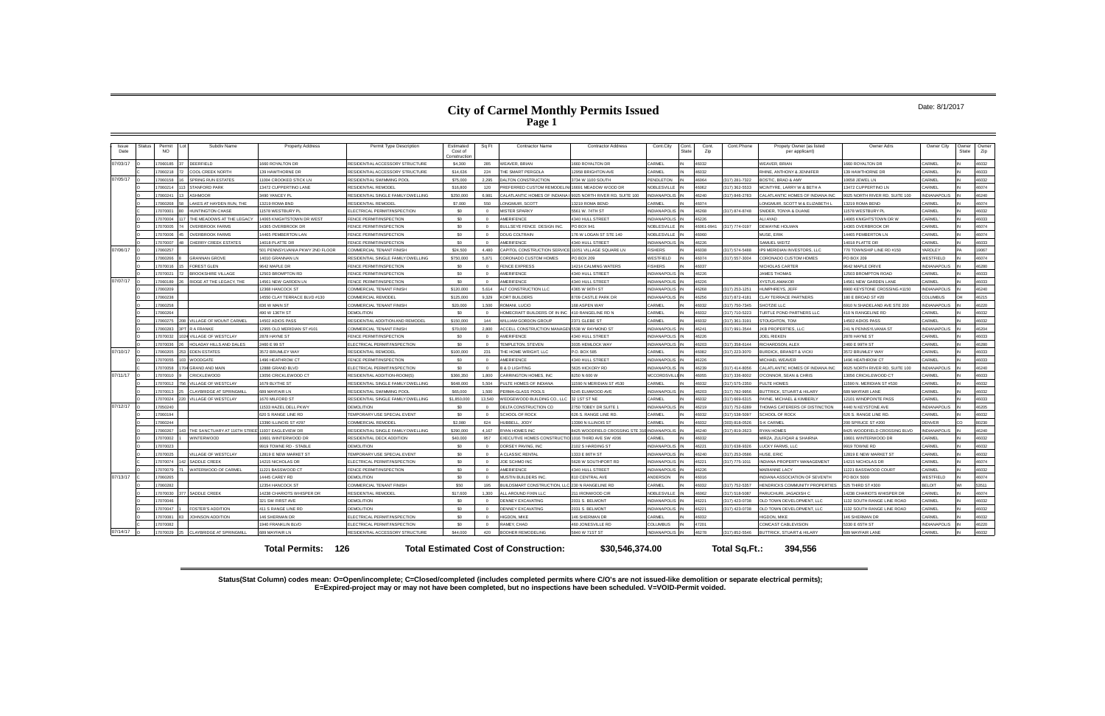# **City of Carmel Monthly Permits Issued Page 1**

### Date: 8/1/2017

**Status(Stat Column) codes mean: O=Open/incomplete; C=Closed/completed (includes completed permits where C/O's are not issued-like demolition or separate electrical permits); E=Expired-project may or may not have been completed, but no inspections have been scheduled. V=VOID-Permit voided.**

| Issue<br>Date | <b>Status</b> | Permit<br><b>NO</b> | Subdiv Name                    | <b>Property Address</b>         | Permit Type Description             | Estimated<br>Cost of<br>Constructio | Sq Ft    | <b>Contractor Name</b>                               | <b>Contractor Address</b>      | Cont.City              | Cont.<br>State | Cont.<br>Zip | Cont.Phone     | Propety Owner (as listed<br>per applicant) | Owner Adrs                     | Owner City          | Owner<br>State | Owner<br>Zip |
|---------------|---------------|---------------------|--------------------------------|---------------------------------|-------------------------------------|-------------------------------------|----------|------------------------------------------------------|--------------------------------|------------------------|----------------|--------------|----------------|--------------------------------------------|--------------------------------|---------------------|----------------|--------------|
| 07/03/17      |               | 7060185             | DEERFIELD                      | 1660 ROYALTON DR                | RESIDENTIAL ACCESSORY STRUCTURE     | \$4,300                             | 285      | <b>WEAVER, BRIAN</b>                                 | 1660 ROYALTON DR               | ARMEL                  |                | 46032        |                | <b>WEAVER, BRIAN</b>                       | 1660 ROYALTON DR               | CARMEL              |                | 46032        |
|               |               | 7060218             | COOL CREEK NORTH               | 39 HAWTHORNE DR                 | RESIDENTIAL ACCESSORY STRUCTURE     | \$14,636                            | 224      | THE SMART PERGOLA                                    | 12958 BRIGHTON AVE             | ARMEL                  |                | 16032        |                | RHINE, ANTHONY & JENNIFER                  | 39 HAWTHORNE DR                | CARMEL              |                | 46033        |
| 07/05/17      |               | 7060158             | <b>SPRING RUN ESTATES</b>      | 1004 CROOKED STICK LN           | RESIDENTIAL SWIMMING POOL           | \$75,000                            | 2,295    | DALTON CONSTRUCTION                                  | 3734 W 1100 SOUTH              | <b>ENDLETON</b>        |                | 46064        | (317) 281-7322 | BOSTIC, BRAD & AMY                         | 10658 JEWEL LN                 | <b>CARMEL</b>       |                | 46032        |
|               |               | 7060214             | STANFORD PARK                  | 13472 CUPPERTINO LANE           | RESIDENTIAL REMODEI                 | \$16,800                            | 120      | PREFERRED CUSTOM REMODELINI 16691 MEADOW WOOD DR     |                                | <b>VOBLESVILLE</b>     |                | 16062        | (317) 362-5533 | MCINTYRE, LARRY W & BETH A                 | 13472 CUPPERTINO LN            | CARMEL              |                | 46074        |
|               |               | 17060241            | SHMOOR                         | 3490 YANCEY PI                  | RESIDENTIAL SINGLE FAMILY DWELLING  | \$250,000                           | 6.981    | CALATLANTIC HOMES OF INDIANA                         | 9025 NORTH RIVER RD, SUITE 100 | NDIANAPOLIS            |                | 46240        | (317) 846-2783 | CALATLANTIC HOMES OF INDIANA INC           | 0025 NORTH RIVER RD, SUITE 100 | <b>INDIANAPOLIS</b> |                | 46240        |
|               |               | 7060268             | AKES AT HAYDEN RUN. THE        | 13219 ROMA BND                  | RESIDENTIAL REMODEL                 | \$7,000                             | 550      | LONGMUIR, SCOTT                                      | 13219 ROMA BEND                | ARMEL                  |                | 46074        |                | LONGMUIR. SCOTT M & ELIZABETH L            | 3219 ROMA BEND                 | CARMEL              |                | 46074        |
|               |               | 17070001            | <b>HUNTINGTON CHASE</b>        | 11578 WESTBURY PL               | LECTRICAL PERMIT/INSPECTION         | \$0                                 | $\Omega$ | <b>MISTER SPARKY</b>                                 | 5561 W. 74TH ST                | NDIANAPOLIS            |                | 16268        | (317) 874-8748 | SNIDER, TONYA & DUANE                      | 1578 WESTBURY PL               | CARMEL              |                | 46032        |
|               |               | 7070004             | HE MEADOWS AT THE LEGACY       | 14065 KNIGHTSTOWN DR WEST       | <b>ENCE PERMIT/INSPECTION</b>       | sn.                                 | $\Omega$ | AMERIFENCE                                           | 4340 HULL STREET               | NDIANAPOLIS            |                | 6226         |                | ALLAYAD                                    | 4065 KNIGHTSTOWN DR W          | <b>CARMEL</b>       |                | 46033        |
|               |               | 7070005             | <b>VERBROOK FARMS</b>          | 4365 OVERBROOK DF               | <b>ENCE PERMIT/INSPECTION</b>       | S <sub>0</sub>                      | $\Omega$ | <b>BULLSEYE FENCE DESIGN INC</b>                     | PO BOX 941                     | <b>VOBLESVILLE</b>     |                | 16061-094    | (317) 774-0197 | <b>DEWAYNE HOLMAN</b>                      | 14365 OVERBROOK DR             | CARME               |                | 46074        |
|               |               | 17070006            | <b>OVERBROOK FARMS</b>         | 4465 PEMBERTON LAN              | <b>FENCE PERMIT/INSPECTION</b>      | \$0                                 | $\Omega$ | <b>DOUG COLTRAIN</b>                                 | 176 W LOGAN ST STE 140         | NOBLESVILLE            |                | 03064        |                | MUSE, ERIK                                 | 14465 PEMBERTON LN             | CARMEL              |                | 46074        |
|               |               | 7070007             | CHERRY CREEK ESTATES           | 14018 PLATTE DR                 | FENCE PERMIT/INSPECTION             | \$0                                 | $\Omega$ | AMERIFENCE                                           | 4340 HULL STREET               | <b>NDIANAPOLIS</b>     |                | 16226        |                | SAMUEL WEITZ                               | 4018 PLATTE DR                 | CARMEL              |                | 46033        |
| 07/06/17      |               | 7060257             |                                | 501 PENNSYLVANIA PKWY 2ND FLOOR | OMMERCIAL TENANT FINISH             | \$24,500                            | 4.480    | CAPITOL CONSTRUCTION SERVICE 11051 VILLAGE SQUARE LN |                                | <b>ISHERS</b>          |                | 6038         | (317) 574-5488 | P9 MERIDIAN INVESTORS, LLC                 | 70 TOWNSHIP LINE RD #150       | <b>ARDLEY</b>       |                | 9067         |
|               |               | 3802080             | <b>GRANNAN GROVE</b>           | 14010 GRANNAN LN                | ESIDENTIAL SINGLE FAMILY DWELLING   | \$750,000                           | 5.871    | <b>CORONADO CUSTOM HOMES</b>                         | PO BOX 209                     | <b>ESTFIELD</b>        |                | 16074        | (317) 557-3004 | ORONADO CUSTOM HOMES                       | PO BOX 209                     | <b>NESTFIELD</b>    |                | 46074        |
|               |               | 7070016             | FOREST GLEN                    | 9642 MAPLE DR                   | FENCE PERMIT/INSPECTION             | S <sub>0</sub>                      | $\Omega$ | <b>FENCE EXPRESS</b>                                 | 14214 CALMING WATERS           | <b>ISHERS</b>          |                | 6037         |                | NICHOLAS CARTER                            | 9642 MAPLE DRIVE               | NDIANAPOLIS         |                | 46280        |
|               |               | 17070021            | <b>BROOKSHIRE VILLAGE</b>      | 12503 BROMPTON RD               | FENCE PERMIT/INSPECTION             | \$0                                 | $\Omega$ | <b>AMERIFENCE</b>                                    | 4340 HULL STREET               | NDIANAPOLIS            |                | 46226        |                | <b>JAMES THOMAS</b>                        | 12503 BROMPTON ROAD            | CARMEL              |                | 46033        |
| 07/07/17      |               | 7060189             | RIDGE AT THE LEGACY. THE       | 14561 NEW GARDEN LN             | <b>ENCE PERMIT/INSPECTION</b>       | \$0                                 | $\Omega$ | <b>AMERIFENCE</b>                                    | 4340 HULL STREET               | <b>NDIANAPOLIS</b>     |                | 46226        |                | <b>XYSTUS AMAKOR</b>                       | 14561 NEW GARDEN LANE          | ARMEL               |                | 46033        |
|               |               | 17060209            |                                | 12368 HANCOCK ST                | COMMERCIAL TENANT FINISH            | \$120,000                           |          | 5,614 ALT CONSTRUCTION LLC                           | 4365 W 96TH ST                 | NDIANAPOLIS            |                | 16268        | (317) 253-1251 | <b>HUMPHREYS JEFF</b>                      | 8900 KEYSTONE CROSSING #1150   | <b>NDIANAPOLIS</b>  |                | 46240        |
|               |               | 17060238            |                                | 4550 CLAY TERRACE BLVD #130     | <b>COMMERCIAL REMODEL</b>           | \$125,000                           | 9,329    | <b>KORT BUILDERS</b>                                 | 8709 CASTLE PARK DR            | <b>NDIANAPOLIS</b>     |                | 16256        | (317) 872-4181 | <b>CLAY TERRACE PARTNERS</b>               | 180 E BROAD ST #20             | COLUMBUS            |                | 46215        |
|               |               | 7060258             |                                | 36 W MAIN ST                    | OMMERCIAL TENANT FINISH             | \$20,000                            | 1,500    | ROMANI, LUCIO                                        | 168 ASPEN WAY                  | ARMEL                  |                | 6032         | (317) 750-7345 | HOTZIE I I C                               | 910 N SHADELAND AVE STE 200    | NDIANAPOLIS         |                | 16220        |
|               |               | 17060264            |                                | 490 W 136TH ST                  | <b>DEMOLITION</b>                   | \$0                                 | $\Omega$ | HOMECRAFT BUILDERS OF IN INC                         | 410 RANGELINE RD N             | CARMEL                 |                | 46032        | (317) 710-5223 | TURTLE POND PARTNERS LLC                   | 110 N RANGELINE RD             | CARMEL              |                | 46032        |
|               |               | 17060275            | <b>ILLAGE OF MOUNT CARMEL</b>  | 14502 ADIOS PASS                | RESIDENTIAL ADDITION AND REMODEL    | \$150,000                           | 144      | WILLIAM GORDON GROUP                                 | 2371 GLEBE ST                  | <b>ARMEL</b>           |                | 46032        | (317) 361-3191 | TOUGHTON, TON                              | 14502 ADIOS PASS               | CARMEL              |                | 46032        |
|               |               | 7060283             | <b>RAFRANKE</b>                | 2955 OLD MERIDIAN ST #101       | COMMERCIAL TENANT FINISH            | \$70,000                            | 2,800    | ACCELL CONSTRUCTION MANAGEM 5538 W RAYMOND ST        |                                | NDIANAPOLIS            |                | 16241        | (317) 991-3544 | JKB PROPERTIES, LLC                        | 241 N PENNSYLVANIA ST          | <b>NDIANAPOLIS</b>  |                | 46204        |
|               |               | 7070032             | <b>VILLAGE OF WESTCLAY</b>     | <b>878 HAYNE ST</b>             | <b>ENCE PERMIT/INSPECTION</b>       | \$0                                 | $\Omega$ | AMERIFENCE                                           | 4340 HULL STREET               | <b>NDIANAPOLIS</b>     |                | 16226        |                | <b>JOEL RIEKEN</b>                         | 2878 HAYNE ST                  | CARMEL              |                | 46033        |
|               |               | 7070036             | HOLADAY HILLS AND DALES        | 2460 E 99 ST                    | <b>ELECTRICAL PERMIT/INSPECTION</b> | S <sub>0</sub>                      | $\Omega$ | TEMPLETON, STEVEN                                    | 3035 HEMLOCK WAY               | NDIANAPOLIS            |                | 16203        | (317) 358-6144 | RICHARDSON, ALEX                           | 2460 E 99TH ST                 | CARMEL              |                | 46280        |
| 07/10/17      |               | 7060205             | <b>EDEN ESTATES</b>            | 3572 BRUMLEY WAY                | RESIDENTIAL REMODEI                 | \$100,000                           | 231      | THE HOME WRIGHT, LLC                                 | P.O. BOX 585                   | <b>ARMEL</b>           |                | 46082        | (317) 223-3070 | <b>BURDICK, BRANDT &amp; VICKI</b>         | 3572 BRUMLEY WAY               | CARMEL              |                | 46033        |
|               |               | 7070055             | WOODGATE                       | 496 HEATHROW CT                 | FENCE PERMIT/INSPECTION             | \$0                                 | $\Omega$ | AMERIFENCE                                           | 4340 HULL STREET               | NDIANAPOLIS            |                | 46226        |                | MICHAFI WFAVER                             | <b>496 HEATHROW CT</b>         | CARMEL              |                | 46033        |
|               |               | 7070058             | <b>GRAND AND MAIN</b>          | 2888 GRAND BLVD                 | <b>ELECTRICAL PERMIT/INSPECTION</b> | \$0                                 | $\Omega$ | <b>B &amp; D LIGHTING</b>                            | 5635 HICKORY RD                | <b>NDIANAPOLIS</b>     |                | 16239        | (317) 414-8056 | CALATLANTIC HOMES OF INDIANA INC           | 0025 NORTH RIVER RD, SUITE 100 | <b>INDIANAPOLIS</b> |                | 46240        |
| 07/11/17      |               | 7070010             | <b>RICKLEWOOD</b>              | 3056 CRICKLEWOOD CT             | RESIDENTIAL ADDITION-ROOM(S)        | \$366,350                           | 1.800    | CARRINGTON HOMES, INC                                | 3250 N 600 W                   | <b>ACCORDSVILLE IN</b> |                | 16055        | (317) 336-8002 | O'CONNOR, SEAN & CHRIS                     | 3056 CRICKLEWOOD CT            | CARMEL              |                | 46033        |
|               |               | 7070012             | <b>ILLAGE OF WESTCLAY</b>      | 1679 BLYTHE ST                  | RESIDENTIAL SINGLE FAMILY DWELLING  | \$648,000                           | 5.504    | PULTE HOMES OF INDIANA                               | 1590 N MERIDIAN ST #530        | <b>ARMEL</b>           |                | 16032        | (317) 575-2350 | PULTE HOMES                                | 1590 N. MERIDIAN ST #530       | CARME               |                | 46032        |
|               |               | 17070013            | CLAYBRIDGE AT SPRINGMIL        | 689 MAYFAIR LN                  | RESIDENTIAL SWIMMING POOL           | \$65,000                            | 1,500    | PERMA-GLASS POOLS                                    | 5245 ELMWOOD AVE               | <b>INDIANAPOLIS</b>    |                | 46203        | (317) 782-9956 | <b>BUTTRICK, STUART &amp; HILARY</b>       | 689 MAYFAIR LANE               | CARMEL              |                | 46032        |
|               |               | 7070024             | <b>ILLAGE OF WESTCLAY</b>      | 1670 MILFORD ST                 | RESIDENTIAL SINGLE FAMILY DWELLING  | \$1,850,000                         | 13,540   | WEDGEWOOD BUILDING CO., LLC 32 1ST ST NE             |                                | CARMEL                 |                | 46032        | (317) 669-6315 | PAYNE, MICHAEL & KIMBERLY                  | 12101 WINDPOINTE PASS          | CARMEL              |                | 46033        |
| 07/12/17      |               | 17050240            |                                | 1533 HAZEL DELL PKWY            | DEMOLITION                          | \$0                                 | $\Omega$ | DELTA CONSTRUCTION CO                                | 2750 TOBEY DR SUITE 1          | NDIANAPOLIS            |                | 16219        | (317) 752-6289 | THOMAS CATERERS OF DISTINCTION             | <b>1440 N KEYSTONE AVE</b>     | <b>NDIANAPOLIS</b>  |                | 46205        |
|               |               | 17060194            |                                | 20 S RANGE LINE RD              | <b>EMPORARY USE SPECIAL EVENT</b>   | S <sub>0</sub>                      | $\Omega$ | SCHOOL OF ROCK                                       | 626 S. RANGE LINE RD           | <b>ARMEL</b>           |                | 6032         | (317) 538-5097 | SCHOOL OF ROCK                             | 626 S. RANGE LINE RD.          | CARMEL              |                | 46032        |
|               |               | 17060244            |                                | 3390 ILLINOIS ST #297           | COMMERCIAL REMODE                   | \$2,080                             | 624      | HUBBELL, JODY                                        | 13390 N ILLINOIS ST            | ARMFI                  |                | 16032        | (303) 818-0526 | -K CARMEI                                  | 200 SPRUCE ST #200             | DENVER              |                | 30230        |
|               |               | 17060267            | THE SANCTUARY AT 116TH STRE    | 1937 EAGLEVIEW DR               | RESIDENTIAL SINGLE FAMILY DWELLING  | \$290,000                           | 4 167    | RYAN HOMES INC                                       | 8425 WOODFIELD CROSSING STE 31 | <b>INDIANAPOLIS</b>    |                | 46240        | (317) 819-2623 | RYAN HOMES                                 | 8425 WOODFIELD CROSSING BLVD   | INDIANAPOLIS        |                | 46240        |
|               |               | 7070002             | <b>WINTERWOOD</b>              | 0601 WINTERWOOD DR              | RESIDENTIAL DECK ADDITION           | \$40,000                            | 957      | EXECUTIVE HOMES CONSTRUCTIO 1016 THIRD AVE SW #206   |                                | ARMEL                  |                | 46032        |                | MIRZA, ZULFIQAR & SHAIRNA                  | 10601 WINTERWOOD DR            | ARME.               |                | 46032        |
|               |               | 17070023            |                                | 9919 TOWNE RD - STABLE          | DEMOLITION                          | \$0                                 | $\Omega$ | DORSEY PAVING, INC                                   | 2102 S HARDING ST              | NDIANAPOLIS            |                | 16221        | (317) 638-9326 | LUCKY FARMS, LLC                           | 9919 TOWNE RD                  | CARMEL              |                | 46032        |
|               |               | 7070025             | <b>ILLAGE OF WESTCLAY</b>      | 12819 E NEW MARKET ST           | <b>EMPORARY USE SPECIAL EVENT</b>   | \$0                                 | $\Omega$ | A CLASSIC RENTAL                                     | 1333 E 86TH ST                 | NDIANAPOLIS            |                | 16240        | (317) 253-0586 | HUSE ERIC                                  | 12819 E NEW MARKET ST          | <b>CARMEL</b>       |                | 46032        |
|               |               | 7070074             | SADDLE CREEK                   | 4215 NICHOLAS DF                | <b>ELECTRICAL PERMIT/INSPECTION</b> | S <sub>0</sub>                      | $\Omega$ | JOE SCHMO INC                                        | 5628 W SOUTHPORT RD            | <b>NDIANAPOLIS</b>     |                | 16221        | (317) 775-1011 | INDIANA PROPERTY MANAGEMENT                | 4215 NICHOLAS DR               | CARME               |                | 46074        |
|               |               | 17070079            | WATERWOOD OF CARMEL            | 11221 BASSWOOD CT               | FENCE PERMIT/INSPECTION             | \$0                                 | $\Omega$ | <b>AMERIFENCE</b>                                    | 4340 HULL STREET               | <b>INDIANAPOLIS</b>    |                | 46226        |                | <b>MARIANNE LACY</b>                       | 11221 BASSWOOD COURT           | CARMEL              |                | 46032        |
| 07/13/17      |               | 17060265            |                                | 4445 CAREY RD                   | DEMOLITION                          | s0                                  | $\Omega$ | MUSTIN BUILDERS INC                                  | 810 CENTRAL AVE                | <b>NDERSON</b>         |                | 16016        |                | INDIANA ASSOCIATION OF SEVENTH             | PO BOX 5000                    | WESTFIELD           |                | 46074        |
|               |               | 17060282            |                                | 12354 HANCOCK ST                | COMMERCIAL TENANT FINISH            | \$50                                | 195      | BUILDSMART CONSTRUCTION, LLC 230 N RANGELINE RD      |                                | <b>ARMEL</b>           |                | 16032        | (317) 752-5357 | HENDRICKS COMMUNITY PROPERTIE:             | 525 THIRD ST #300              | <b>BEI OIT</b>      |                | 53511        |
|               |               | 17070030            | SADDLE CREEK                   | 4238 CHARIOTS WHISPER DR        | RESIDENTIAL REMODEL                 | \$17,600                            | 1.300    | ALL AROUND FIXIN LLC                                 | 211 IRONWOOD CIR               | <b>VOBLESVILLE</b>     |                | 46062        | (317) 518-5087 | PARUCHURI, JAGADISH C                      | 4238 CHARIOTS WHISPER DR       | CARMEL              |                | 46074        |
|               |               | 7070046             |                                | 321 SW FIRST AVE                | <b>EMOLITION</b>                    | S <sub>0</sub>                      |          | DENNEY EXCAVATING                                    | 2031 S. BELMON'                | <b>NDIANAPOLIS</b>     |                | 6221         | (317) 423-073  | OLD TOWN DEVELOPMENT, LLC                  | 132 SOUTH RANGE LINE ROAD      | <b>ARME</b>         |                | 6032         |
|               |               | 17070047            | OSTER'S ADDITION               | <b>411 S RANGE LINE RD</b>      | DEMOLITION                          | \$0                                 | $\Omega$ | DENNEY EXCAVATING                                    | 2031 S. BELMONT                | <b>INDIANAPOLIS</b>    |                | 16221        | (317) 423-0738 | OLD TOWN DEVELOPMENT, LLC                  | 1132 SOUTH RANGE LINE ROAD     | <b>CARMEL</b>       |                | 46032        |
|               |               | 17070081            | JOHNSON ADDITION               | <b>46 SHERMAN DR</b>            | LECTRICAL PERMIT/INSPECTION         | S <sub>0</sub>                      | $\Omega$ | HIGDON, MIKE                                         | 146 SHERMAN DR                 | ARMEL                  |                | 16032        |                | <b>HIGDON, MIKE</b>                        | <b>46 SHERMAN DF</b>           | ARME.               |                | 46032        |
|               |               | 7070082             |                                | 940 FRANKLIN BLVD               | <b>ELECTRICAL PERMIT/INSPECTION</b> | \$0                                 | $\Omega$ | RAMEY, CHAD                                          | 460 JONESVILLE RD              | <b>COLUMBUS</b>        |                | 7201         |                | COMCAST CABLEVISION                        | 5330 E 65TH ST                 | NDIANAPOLIS         |                | 46220        |
| 07/14/17 0    |               | 7070029             | <b>CLAYBRIDGE AT SPRINGMIL</b> | <b>89 MAYFAIR LN</b>            | RESIDENTIAL ACCESSORY STRUCTURE     | \$44,000                            | 420      | <b>BOOHER REMODELING</b>                             | 5840 W 71ST ST                 | <b>VDIANAPOLIS</b> IN  |                | 46278        | (317) 852-5546 | <b>BUTTRICK, STUART &amp; HILARY</b>       | <b>89 MAYFAIR LANE</b>         | CARMEL              |                | 46032        |
|               |               |                     |                                | <b>Total Permits: 126</b>       |                                     |                                     |          | <b>Total Estimated Cost of Construction:</b>         | \$30,546,374.00                |                        |                |              | Total Sq.Ft.:  | 394.556                                    |                                |                     |                |              |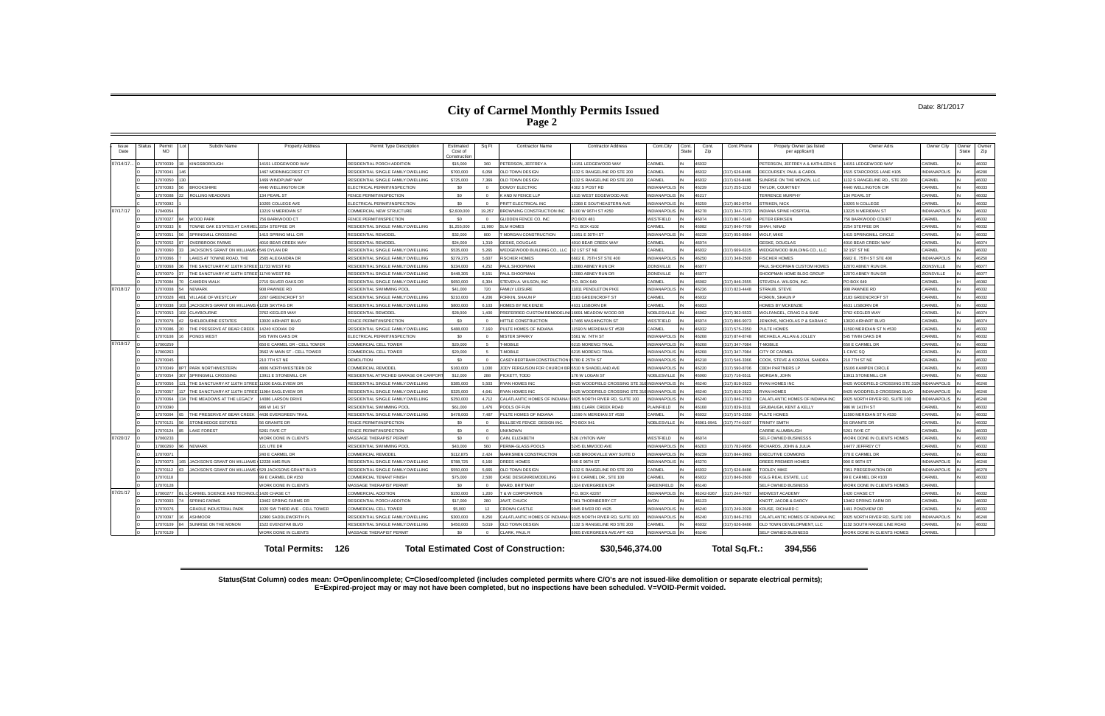# **City of Carmel Monthly Permits Issued Page 2**

### Date: 8/1/2017

**Status(Stat Column) codes mean: O=Open/incomplete; C=Closed/completed (includes completed permits where C/O's are not issued-like demolition or separate electrical permits); E=Expired-project may or may not have been completed, but no inspections have been scheduled. V=VOID-Permit voided.**

| Issue<br>Date | Status | Permi<br><b>NO</b> | Subdiv Name                        | <b>Property Address</b>        | Permit Type Description             | Estimated<br>Cost of<br>Construction | Sq Ft       | <b>Contractor Name</b>                                        | <b>Contractor Address</b>                                     | Cont.City             | Cont.<br>State | Cont.<br>Zip | Cont.Phone       | Propety Owner (as listed<br>per applicant) | Owner Adrs                               | Owner City          | Owner<br>State | Owner<br>Zip |
|---------------|--------|--------------------|------------------------------------|--------------------------------|-------------------------------------|--------------------------------------|-------------|---------------------------------------------------------------|---------------------------------------------------------------|-----------------------|----------------|--------------|------------------|--------------------------------------------|------------------------------------------|---------------------|----------------|--------------|
| 07/14/17      |        | 17070039           | <b>KINGSBOROUGH</b>                | 14151 LEDGEWOOD WAY            | RESIDENTIAL PORCH ADDITION          | \$15,000                             | 360         | PETERSON, JEFFREY A                                           | 14151 LEDGEWOOD WAY                                           | CARMEL                |                | 16032        |                  | PETERSON, JEFFREY A & KATHLEEN S           | 14151 LEDGEWOOD WAY                      | ARMEL               |                | 46032        |
|               |        | 7070041            |                                    | 467 MORNINGCREST CT            | RESIDENTIAL SINGLE FAMILY DWELLING  | \$700,000                            | 6.058       | OLD TOWN DESIGN                                               | 132 S RANGELINE RD STE 200                                    | ARMEL                 |                | 16032        | (317) 626-8486   | ECOURSEY, PAUL & CAROL                     | 515 STARCROSS LANE #105                  | <b>NDIANAPOLIS</b>  |                | 46280        |
|               |        | 7070050            |                                    | 469 WINDPUMP WAY               | RESIDENTIAL SINGLE FAMILY DWELLING  | \$725,000                            | 7,369       | OLD TOWN DESIGN                                               | 1132 S RANGELINE RD STE 200                                   | ARMEL                 |                | 16032        | (317) 626-8486   | SUNRISE ON THE MONON, LLC                  | 132 S RANGELINE RD., STE 200             | CARMEL              |                | 46032        |
|               |        | 17070083           | <b>BROOKSHIRE</b>                  | <b>4440 WELLINGTON CIF</b>     | <b>ELECTRICAL PERMIT/INSPECTION</b> | S <sub>0</sub>                       | $\Omega$    | <b>DOWDY ELECTRIC</b>                                         | 4302 S POST RD                                                | NDIANAPOLIS           |                | 46239        | (317) 255-1130   | TAYLOR, COURTNEY                           | 4440 WELLINGTON CIR                      | CARMEL              |                | 46033        |
|               |        | 17070088           | <b>ROLLING MEADOWS</b>             | 134 PEARL ST                   | <b>FENCE PERMIT/INSPECTION</b>      | \$0                                  | $\Omega$    | K AND M FENCE LLP                                             | 1615 WEST EDGEWOOD AVE                                        | <b>NDIANAPOLIS</b>    |                | 46217        |                  | <b>TERRENCE MURPHY</b>                     | 134 PEARL ST                             | CARMEL              |                | 46032        |
|               |        | 17070092           |                                    | 0205 COLLEGE AVE               | LECTRICAL PERMIT/INSPECTION         | \$0                                  | $\circ$     | PRITT ELECTRICAL INC                                          | 12368 E SOUTHEASTERN AVE                                      | <b>VDIANAPOLIS</b>    |                | 16259        | (317) 862-9754   | <b>STRIKEN, NICK</b>                       | 0205 N COLLEGE                           | CARMEL              |                | 46032        |
| 07/17/17      |        | 7040054            |                                    | 3219 N MERIDIAN ST             | COMMERCIAL NEW STRUCTURE            | \$2,600,000                          | 19.257      | BROWNING CONSTRUCTION INC                                     | 6100 W 96TH ST #250                                           | <b>NDIANAPOLIS</b>    |                | 46278        | (317) 344-7373   | <b>INDIANA SPINE HOSPITAL</b>              | 3225 N MERIDIAN ST                       | NDIANAPOLIS         |                | 46032        |
|               |        | 7070027            | <b>VOOD PARK</b>                   | 756 BARKWOOD CT                | FENCE PERMIT/INSPECTION             | S <sub>0</sub>                       |             | GLIDDEN FENCE CO. INC                                         | PO BOX 481                                                    | VESTFIELD             |                | 16074        | (317) 867-5140   | <b>ETER ERIKSEN</b>                        | 756 BARKWOOD COUR'                       | CARMEL              |                | 46032        |
|               |        | 17070033           | OWNE OAK ESTATES AT CARME          | 2254 STEFFEE DR                | RESIDENTIAL SINGLE FAMILY DWELLING  | \$1,255,000                          | 11,990      | <b>SLM HOMES</b>                                              | P.O. BOX 4102                                                 | CARMEL                |                | 46082        | (317) 846-7709   | SHAH, NINAD                                | 2254 STEFFEE DR                          | CARMEL              |                | 46032        |
|               |        | 7070051            | <b>SPRINGMILL CROSSING</b>         | 1415 SPRING MILL CIR           | RESIDENTIAL REMODEL                 | \$32,000                             | 800         | MORGAN CONSTRUCTION                                           | 11951 E 30TH ST                                               | <b>NDIANAPOLIS</b>    |                | 46229        | (317) 955-8984   | <b>WOLF, MIKE</b>                          | 1415 SPRINGMILL CIRCLE                   | CARMEL              |                | 46032        |
|               |        | 7070052            | <b>OVERBROOK FARMS</b>             | <b>4010 BEAR CREEK WAY</b>     | RESIDENTIAL REMODEL                 | \$24,000                             | 1.319       | <b>GESKE, DOUGLAS</b>                                         | 4010 BEAR CREEK WAY                                           | <b>ARMEL</b>          |                | 16074        |                  | <b>GESKE, DOUGLAS</b>                      | 1010 BEAR CREEK WAY                      | CARMEL              |                | 46074        |
|               |        | 7070060            | <b>ACKSON'S GRANT ON WILLIAMS</b>  | 546 DYLAN DR                   | RESIDENTIAL SINGLE FAMILY DWELLING  | \$535,000                            | 5.265       | WEDGEWOOD BUILDING CO., LLC                                   | 32 1ST ST NE                                                  | ARMEL                 |                | 16032        | (317) 669-6315   | WEDGEWOOD BUILDING CO., LLC                | 2 1ST ST NE                              | ARMEL               |                | 46032        |
|               |        | 7070066            | AKES AT TOWNE ROAD, THE            | 2565 ALEXANDRA DR              | RESIDENTIAL SINGLE FAMILY DWELLING  | \$279,275                            | 5.607       | <b>ISCHER HOMES</b>                                           | 6602 E. 75TH ST STE 400                                       | <b>VDIANAPOLIS</b>    |                | 16250        | (317) 348-2500   | <b>FISCHER HOMES</b>                       | 602 E. 75TH ST STE 400                   | <b>NDIANAPOLIS</b>  |                | 46250        |
|               |        | 17070068           | <b>HE SANCTUARY AT 116TH STRE</b>  | 11733 WEST RD                  | RESIDENTIAL SINGLE FAMILY DWELLING  | \$234,000                            | 4.252       | PAUL SHOOPMAN                                                 | 12080 ABNEY RUN DR                                            | ZIONSVILLE            |                | 46077        |                  | PAUL SHOOPMAN CUSTOM HOMES                 | 12070 ABNEY RUN DR                       | ZIONSVILLE          |                | 46077        |
|               |        | 7070070            | HE SANCTUARY AT 116TH STRE         | 1749 WEST RD                   | RESIDENTIAL SINGLE FAMILY DWELLING  | \$448,305                            | 8.151       | PAUL SHOOPMAN                                                 | 12080 ABNEY RUN DR                                            | <b>ZIONSVILLE</b>     |                | 16077        |                  | SHOOPMAN HOME BLDG GROUP                   | 2070 ABNEY RUN DR                        | <b>ZIONSVILLE</b>   |                | 46077        |
|               |        | 7070084            | CAMDEN WALK                        | 2715 SILVER OAKS DR            | RESIDENTIAL SINGLE FAMILY DWELLING  | \$650,000                            | 6,304       | STEVEN A. WILSON, INC.                                        | P.O. BOX 649                                                  | ARMEL                 |                | 16082        | (317) 846-2555   | STEVEN A. WILSON, INC                      | PO BOX 649                               | CARMEL              |                | 46082        |
| 07/18/17      |        | 7070008            | <b>NFWARK</b>                      | 308 PAWNEE RD                  | RESIDENTIAL SWIMMING POOL           | \$41.000                             | 720         | <b>FAMILY LEISLIRE</b>                                        | 11811 PENDLETON PIKE                                          | NDIANAPOLIS           |                | 46236        | (317) 823-4448   | STRAUB, STEVE                              | 908 PAWNEE RD                            | CARMEL              |                | 46032        |
|               |        | 7070028            | LLAGE OF WESTCLAY                  | 267 GREENCROFT ST              | RESIDENTIAL SINGLE FAMILY DWELLING  | \$210,000                            | 4,206       | FORKIN, SHAUN P                                               | 2183 GREENCROFT ST                                            | <b>ARMEL</b>          |                | 6032         |                  | FORKIN, SHAUN F                            | 183 GREENCROFT ST                        | CARMEL              |                | 46032        |
|               |        | 7070038            | <b>ACKSON'S GRANT ON WILLIAMS</b>  | 1239 SKYTAG DR                 | RESIDENTIAL SINGLE FAMILY DWELLING  | \$800,000                            | 6,103       | <b>HOMES BY MCKENZIE</b>                                      | 4631 LISBORN DR                                               | <b>ARMEL</b>          |                | 16033        |                  | <b>HOMES BY MCKENZIE</b>                   | 4631 LISBORN DR                          | CARME               |                | 46032        |
|               |        | 17070053           | <b>LI AYBOURNE</b>                 | 3762 KEGLER WAY                | RESIDENTIAL REMODEL                 | \$28,000                             | 1.400       | PREFERRED CUSTOM REMODELINI 16691 MEADOW WOOD DR              |                                                               | <b>VOBLESVILLE</b>    |                | \$6062       | $(317)$ 362-5533 | WOLFANGEL, CRAIG D & SIAE                  | 3762 KFGI FR WAY                         | CARMEL              |                | 46074        |
|               |        | 7070078            | <b>SHELBOURNE ESTATES</b>          | 3020 AIRHART BLVD              | <b>ENCE PERMIT/INSPECTION</b>       | \$0                                  | $\Omega$    | HITTLE CONSTRUCTION                                           | 17466 WASHINGTON ST                                           | <b>ESTFIELD</b>       |                | 16074        | (317) 896-9073   | ENKINS, NICHOLAS P & SARAH C               | 3020 AIRHART BLVD                        | CARMEL              |                | 46074        |
|               |        | 7070086            | HE PRESERVE AT BEAR CREEK          | 14240 KODIAK DR                | RESIDENTIAL SINGLE FAMILY DWELLING  | \$488,000                            | 7.160       | PULTE HOMES OF INDIANA                                        | 1590 N MERIDIAN ST #530                                       | ARMEL                 |                | 16032        | (317) 575-2350   | PULTE HOMES                                | 1590 MERIDIAN ST N #530                  | CARMEL              |                | 46032        |
|               |        | 7070108            | PONDS WEST                         | 545 TWIN OAKS DR               | LECTRICAL PERMIT/INSPECTION         | \$0                                  | $\Omega$    | <b>MISTER SPARKY</b>                                          | 5561 W. 74TH ST                                               | <b>VDIANAPOLIS</b>    |                | 46268        | (317) 874-8748   | MICHAELA, ALLAN & JOLLEY                   | 545 TWIN OAKS DF                         | CARMEL              |                | 46032        |
| 07/19/17      |        | 17060259           |                                    | 650 E CARMEL DR - CELL TOWER   | COMMERCIAL CELL TOWER               | \$20,000                             | $5^{\circ}$ | T-MOBILE                                                      | 6215 MORENCI TRAI                                             | <b>INDIANAPOLIS</b>   |                | 46268        | (317) 347-7084   | <b>T-MORILE</b>                            | 650 E CARMEL DR                          | CARMEL              |                | 46032        |
|               |        | 17060263           |                                    | 3562 W MAIN ST - CELL TOWER    | COMMERCIAL CELL TOWER               | \$20,000                             | 5           | <b>F-MOBILE</b>                                               | 6215 MORENCI TRAIL                                            | NDIANAPOLIS           |                | 46268        | (317) 347-7084   | <b>CITY OF CARMEL</b>                      | CIVIC SQ                                 | CARMEL              |                | 46033        |
|               |        | 17070045           |                                    | 210 7TH ST NE                  | <b>DEMOLITION</b>                   | \$0                                  | $\Omega$    | CASEY-BERTRAM CONSTRUCTION 5780 E 25TH ST                     |                                                               | <b>VDIANAPOLIS</b>    |                | 16218        | (317) 546-3366   | COOK, STEVE & KORZAN, SANDRA               | 210 7TH ST NE                            | CARMEL              |                | 46032        |
|               |        | 7070049            | PARK NORTHWESTERN                  | <b>4806 NORTHWESTERN DR</b>    | COMMERCIAL REMODEL                  | \$160,000                            | 1.000       | JODY FERGUSON FOR CHURCH BR 6510 N SHADELAND AVE              |                                                               | <b>NDIANAPOLIS</b>    |                | 46220        | (317) 590-8706   | <b>CBDH PARTNERS LP</b>                    | 15106 KAMPEN CIRCLE                      | CARMEL              |                | 46033        |
|               |        | 7070054            | SPRINGMILL CROSSING                | 3911 E STONEMILL CIR           | ESIDENTIAL ATTACHED GARAGE OR CARPO | \$12,000                             | 288         | PICKETT, TODD                                                 | 176 W LOGAN ST                                                | <b>IOBLESVILLE</b>    |                | 00001        | (317) 716-6511   | MORGAN, JOHN                               | 3911 STONEMILL CIR                       | <b>ARMEL</b>        |                | 46032        |
|               |        | 17070056           | THE SANCTUARY AT 116TH STRE        | 11936 EAGLEVIEW DR             | RESIDENTIAL SINGLE FAMILY DWELLING  | \$385,000                            | 5,503       | <b>RYAN HOMES INC</b>                                         | 8425 WOODFIELD CROSSING STE 3                                 | <b>INDIANAPOLIS</b>   |                | 16240        | (317) 819-2623   | <b>RYAN HOMES INC</b>                      | 3425 WOODFIELD CROSSING STE 31           | <b>INDIANAPOLIS</b> |                | 46240        |
|               |        | 17070057           | <b>HE SANCTUARY AT 116TH STRE</b>  | 1984 EAGLEVIEW DR              | RESIDENTIAL SINGLE FAMILY DWELLING  | \$325,000                            | 4.641       | RYAN HOMES INC                                                | 8425 WOODFIELD CROSSING STE 3                                 | <b>INDIANAPOLIS</b>   |                | 46240        | (317) 819-2623   | RYAN HOMES                                 | 8425 WOODFIELD CROSSING BLVD             | <b>INDIANAPOLIS</b> |                | 46240        |
|               |        | 17070064           | THE MEADOWS AT THE LEGACY          | 14086 LARSON DRIVE             | RESIDENTIAL SINGLE FAMILY DWELLING  | \$250,000                            | 4.712       |                                                               | CALATLANTIC HOMES OF INDIANA I 9025 NORTH RIVER RD, SUITE 100 | <b>VDIANAPOLIS</b>    |                | 46240        | (317) 846-2783   | CALATLANTIC HOMES OF INDIANA INC           | 025 NORTH RIVER RD, SUITE 100            | <b>NDIANAPOLIS</b>  |                | 46240        |
|               |        | 17070090           |                                    | 986 W 141 ST                   | RESIDENTIAL SWIMMING POOL           | \$61,000                             | 1.476       | POOLS OF FUN                                                  | 3891 CLARK CREEK ROAD                                         | LAINFIELD             |                | 16168        | (317) 839-3311   | GRUBAUGH, KENT & KELLY                     | 986 W 141TH ST                           | CARMEL              |                | 46032        |
|               |        | 7070094            | HE PRESERVE AT BEAR CREEK          | <b>4436 EVERGREEN TRAIL</b>    | RESIDENTIAL SINGLE FAMILY DWELLING  | \$478,000                            | 7.487       | PULTE HOMES OF INDIANA                                        | 1590 N MERIDIAN ST #530                                       | ARMEI                 |                | 6032         | (317) 575-2350   | PULTE HOMES                                | 1590 MERIDIAN ST N #530                  | ARME.               |                | 46032        |
|               |        | 17070121           | TONEHEDGE ESTATES                  | 56 GRANITE DR                  | FENCE PERMIT/INSPECTION             | \$0                                  | $\Omega$    | <b>BULLSEYE FENCE DESIGN INC.</b>                             | PO BOX 941                                                    | NOBLESVILLE           |                | 46061-094    | (317) 774-0197   | <b>TRINITY SMITH</b>                       | 56 GRANITE DF                            | CARMEL              |                | 46032        |
|               |        | 7070124            | AKE FOREST                         | 5261 FAYE CT                   | FENCE PERMIT/INSPECTION             | \$0                                  | $\Omega$    | <b>UNKNOWN</b>                                                |                                                               |                       |                |              |                  | <b>CARRIE ALUMBAUGH</b>                    | 5261 FAYE CT                             | CARMEL              |                | 46033        |
| 07/20/17      |        | 7060233            |                                    | <b>WORK DONE IN CLIENTS</b>    | <b>MASSAGE THERAPIST PERMIT</b>     | s0                                   | $\Omega$    | CAIN, ELIZABETH                                               | 526 LYNTON WAY                                                | <b>/ESTEIFLD</b>      |                | 16074        |                  | SELF OWNED BUSINESSS                       | <b><i>NORK DONE IN CLIENTS HOMES</i></b> | CARMEL              |                | 46032        |
|               |        | 7060260            | NEWARK                             | 121 UTE DR                     | RESIDENTIAL SWIMMING POOL           | \$43,000                             | 560         | PERMA-GLASS POOLS                                             | 5245 FI MWOOD AVE                                             | <b>NDIANAPOLIS</b>    |                | 46203        | (317) 782-9956   | RICHARDS, JOHN & JULIA                     | 14477 JEFFREY CT                         | CARMEL              |                | 46032        |
|               |        | 7070071            |                                    | 40 E CARMEL DR                 | COMMERCIAL REMODEL                  | \$112,875                            | 2.424       | MARKSMEN CONSTRUCTION                                         | 1435 BROOKVILLE WAY SUITE D                                   | <b>VDIANAPOLIS</b>    |                | 46239        | (317) 844-3993   | <b>EXECUTIVE COMMONS</b>                   | 270 E CARMEL DR                          | CARMEL              |                | 46032        |
|               |        | 17070073           | <b>IACKSON'S GRANT ON WILLIAMS</b> | 2228 AMS RUN                   | RESIDENTIAL SINGLE FAMILY DWELLING  | \$788,725                            | 6,160       | <b>DREES HOMES</b>                                            | 900 E 96TH ST                                                 | NDIANAPOLIS           |                | 16270        |                  | OREES PREMIER HOMES                        | 900 E 96TH ST                            | <b>INDIANAPOLIS</b> |                | 46240        |
|               |        | 17070112           | <b>ACKSON'S GRANT ON WILLIAMS</b>  | 529 JACKSONS GRANT BLVD        | RESIDENTIAL SINGLE FAMILY DWELLING  | \$550,000                            | 5.665       | <b>OLD TOWN DESIGN</b>                                        | 1132 S RANGELINE RD STE 200                                   | ARMEL                 |                | 46032        | (317) 626-8486   | TOOI EY MIKE                               | 7951 PRESERVATION DR                     | INDIANAPOLIS        |                | 46278        |
|               |        | 17070118           |                                    | 9 E CARMEL DR #150             | OMMERCIAL TENANT FINISH             | \$75,000                             | 2.500       | CASE DESIGN/REMODELING                                        | 99 E CARMEL DR., STE 100                                      | ARMEL                 |                | 16032        | (317) 846-2600   | <b>KGLG REAL ESTATE, LLC</b>               | 99 E CARMEL DR #100                      | CARMEL              |                | 46032        |
|               |        | 17070128           |                                    | <b>WORK DONE IN CLIENTS</b>    | <b>MASSAGE THERAPIST PERMIT</b>     | \$0                                  | $\Omega$    | WARD, BRITTANY                                                | 1324 EVERGREEN DR                                             | <b>SREENFIELD</b>     |                | 46140        |                  | SELF OWNED BUSINESS                        | WORK DONE IN CLIENTS HOMES               | <b>ARMEL</b>        |                |              |
| 07/21/17      |        | 7060277            | CARMEL SCIENCE AND TECHNOL         | 420 CHASE CT                   | COMMERCIAL ADDITION                 | \$150,000                            |             | 1.200 T & W CORPORATION                                       | P.O. BOX 42267                                                | <b>VDIANAPOLIS</b>    |                | 16242-0267   | (317) 244-7637   | <b>MIDWEST ACADEMY</b>                     | 1420 CHASE CT                            | <b>CARMEL</b>       |                | 46032        |
|               |        | 7070003            | PRING FARMS                        | 3462 SPRING FARMS DR           | RESIDENTIAL PORCH ADDITION          | \$17,000                             | 280         | <b>AVIT. CHUCK</b>                                            | 7961 THORNBERRY CT                                            | VON                   |                | 6123         |                  | (NOTT, JACOB & DARC)                       | 3462 SPRING FARM DR                      | CARMEL              |                | 16032        |
|               |        | 17070076           | <b>GRADLE INDUSTRIAL PARK</b>      | 1020 SW THIRD AVE - CELL TOWER | COMMERCIAL CELL TOWER               | \$5,000                              | 12          | <b>CROWN CASTLE</b>                                           | 9045 RIVER RD #425                                            | NDIANAPOLIS           |                | 16240        | (317) 249-2028   | KRUSE, RICHARD C                           | 1491 PONDVIEW DR                         | ARMEL               |                | 46032        |
|               |        | 7070097            | <b>SHMOOR</b>                      | 2960 SADDLEWORTH PL            | RESIDENTIAL SINGLE FAMILY DWELLING  | \$300,000                            | 8.250       | CALATLANTIC HOMES OF INDIANA I 9025 NORTH RIVER RD. SUITE 100 |                                                               | <b>VDIANAPOLIS</b>    |                | 16240        | (317) 846-2783   | CALATLANTIC HOMES OF INDIANA INC           | 025 NORTH RIVER RD, SUITE 100            | <b>INDIANAPOLIS</b> |                | 46240        |
|               |        | 7070109            | SUNRISE ON THE MONON               | 1522 EVENSTAR BLVD             | RESIDENTIAL SINGLE FAMILY DWELLING  | \$450,000                            | 5,019       | OLD TOWN DESIGN                                               | 1132 S RANGELINE RD STE 200                                   | ARMEL                 |                | 16032        | (317) 626-8486   | OLD TOWN DEVELOPMENT, LLC                  | 132 SOUTH RANGE LINE ROAD                | CARMEL              |                | 46032        |
|               |        | 7070129            |                                    | <b>VORK DONE IN CLIENTS</b>    | <b>MASSAGE THERAPIST PERMIT</b>     | \$0                                  | $\Omega$    | CLARK, PAUL R                                                 | 8905 EVERGREEN AVE APT 403                                    | <b>VDIANAPOLIS</b> IN |                | 46240        |                  | SELF OWNED BUSINESS                        | <b>NORK DONE IN CLIENTS HOMES</b>        | CARMEL              |                |              |
|               |        |                    |                                    |                                |                                     |                                      |             |                                                               |                                                               |                       |                |              |                  |                                            |                                          |                     |                |              |
|               |        |                    |                                    | 126<br><b>Total Permits:</b>   |                                     |                                      |             | <b>Total Estimated Cost of Construction:</b>                  | \$30,546,374.00                                               |                       |                |              | Total Sq.Ft.:    | 394.556                                    |                                          |                     |                |              |